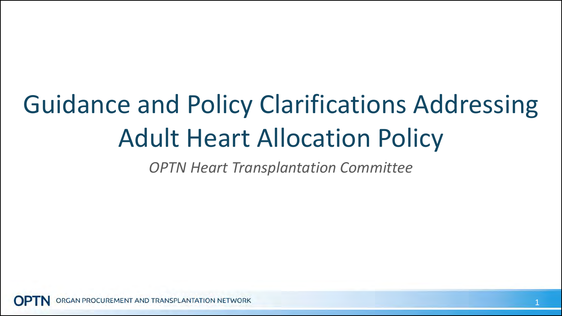## Guidance and Policy Clarifications Addressing Adult Heart Allocation Policy

*OPTN Heart Transplantation Committee*

GAN PROCUREMENT AND TRANSPLANTATION NETWORK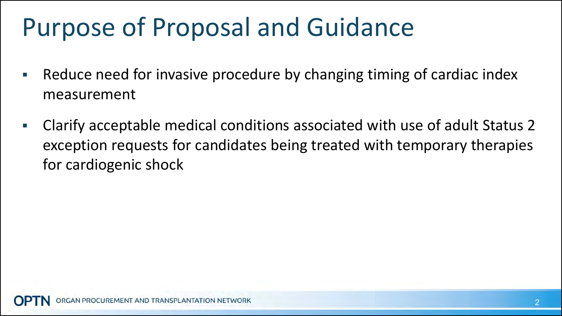## Purpose of Proposal and Guidance

- **Reduce need for invasive procedure by changing timing of cardiac index** measurement
- Clarify acceptable medical conditions associated with use of adult Status 2 exception requests for candidates being treated with temporary therapies for cardiogenic shock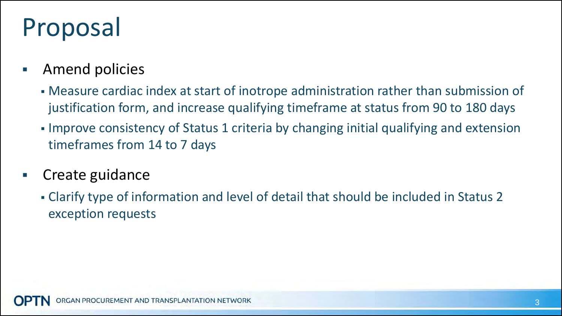## Proposal

- **Amend policies** 
	- Measure cardiac index at start of inotrope administration rather than submission of justification form, and increase qualifying timeframe at status from 90 to 180 days
	- Improve consistency of Status 1 criteria by changing initial qualifying and extension timeframes from 14 to 7 days
- **Create guidance** 
	- Clarify type of information and level of detail that should be included in Status 2 exception requests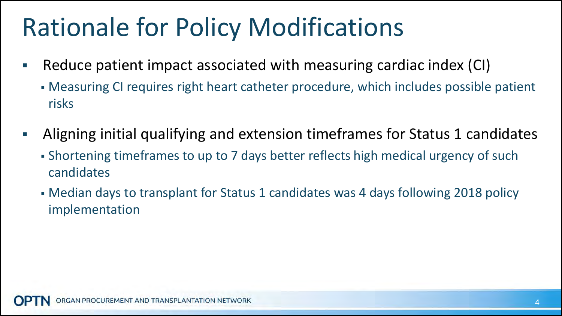## Rationale for Policy Modifications

- Reduce patient impact associated with measuring cardiac index (CI)
	- Measuring CI requires right heart catheter procedure, which includes possible patient risks
- Aligning initial qualifying and extension timeframes for Status 1 candidates
	- Shortening timeframes to up to 7 days better reflects high medical urgency of such candidates
	- Median days to transplant for Status 1 candidates was 4 days following 2018 policy implementation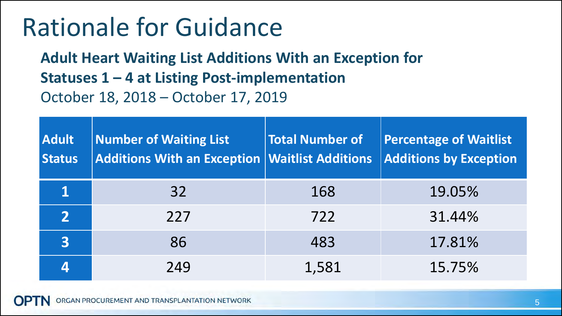#### Rationale for Guidance

**Adult Heart Waiting List Additions With an Exception for Statuses 1 – 4 at Listing Post-implementation**  October 18, 2018 – October 17, 2019

| <b>Adult</b><br><b>Status</b> | <b>Number of Waiting List</b><br>$\vert$ Additions With an Exception $\vert$ Waitlist Additions | <b>Total Number of</b> | <b>Percentage of Waitlist</b><br><b>Additions by Exception</b> |
|-------------------------------|-------------------------------------------------------------------------------------------------|------------------------|----------------------------------------------------------------|
|                               | 32                                                                                              | 168                    | 19.05%                                                         |
| $\overline{2}$                | 227                                                                                             | 722                    | 31.44%                                                         |
| $\overline{\mathbf{3}}$       | 86                                                                                              | 483                    | 17.81%                                                         |
| 4                             | 249                                                                                             | 1,581                  | 15.75%                                                         |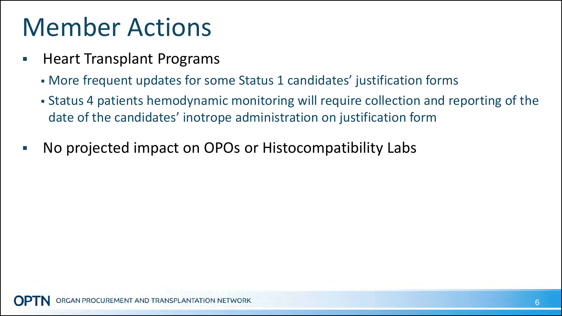#### Member Actions

- **Heart Transplant Programs** 
	- More frequent updates for some Status 1 candidates' justification forms
	- Status 4 patients hemodynamic monitoring will require collection and reporting of the date of the candidates' inotrope administration on justification form
- No projected impact on OPOs or Histocompatibility Labs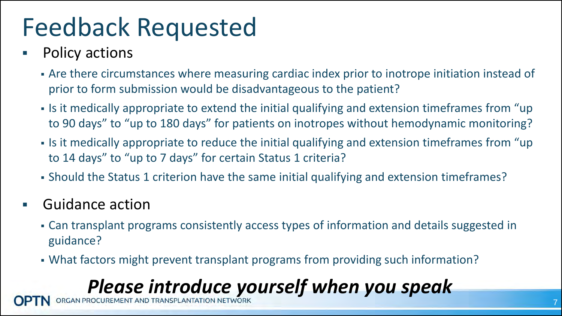## Feedback Requested

- Policy actions
	- Are there circumstances where measuring cardiac index prior to inotrope initiation instead of prior to form submission would be disadvantageous to the patient?
	- If it medically appropriate to extend the initial qualifying and extension timeframes from "up" to 90 days" to "up to 180 days" for patients on inotropes without hemodynamic monitoring?
	- If it medically appropriate to reduce the initial qualifying and extension timeframes from "up" to 14 days" to "up to 7 days" for certain Status 1 criteria?
	- Should the Status 1 criterion have the same initial qualifying and extension timeframes?
- Guidance action
	- Can transplant programs consistently access types of information and details suggested in guidance?
	- What factors might prevent transplant programs from providing such information?

#### **Please introduce yourself when you speak**